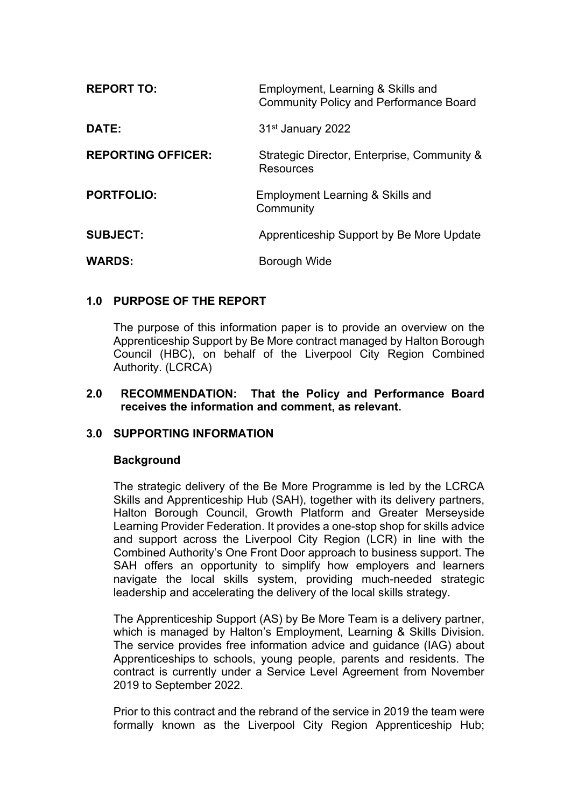| <b>REPORT TO:</b>         | Employment, Learning & Skills and<br><b>Community Policy and Performance Board</b> |
|---------------------------|------------------------------------------------------------------------------------|
| <b>DATE:</b>              | 31 <sup>st</sup> January 2022                                                      |
| <b>REPORTING OFFICER:</b> | Strategic Director, Enterprise, Community &<br>Resources                           |
| <b>PORTFOLIO:</b>         | Employment Learning & Skills and<br>Community                                      |
| <b>SUBJECT:</b>           | Apprenticeship Support by Be More Update                                           |
| <b>WARDS:</b>             | Borough Wide                                                                       |

### **1.0 PURPOSE OF THE REPORT**

The purpose of this information paper is to provide an overview on the Apprenticeship Support by Be More contract managed by Halton Borough Council (HBC), on behalf of the Liverpool City Region Combined Authority. (LCRCA)

#### **2.0 RECOMMENDATION: That the Policy and Performance Board receives the information and comment, as relevant.**

### **3.0 SUPPORTING INFORMATION**

### **Background**

The strategic delivery of the Be More Programme is led by the LCRCA Skills and Apprenticeship Hub (SAH), together with its delivery partners, Halton Borough Council, Growth Platform and Greater Merseyside Learning Provider Federation. It provides a one-stop shop for skills advice and support across the Liverpool City Region (LCR) in line with the Combined Authority's One Front Door approach to business support. The SAH offers an opportunity to simplify how employers and learners navigate the local skills system, providing much-needed strategic leadership and accelerating the delivery of the local skills strategy.

The Apprenticeship Support (AS) by Be More Team is a delivery partner, which is managed by Halton's Employment, Learning & Skills Division. The service provides free information advice and guidance (IAG) about Apprenticeships to schools, young people, parents and residents. The contract is currently under a Service Level Agreement from November 2019 to September 2022.

Prior to this contract and the rebrand of the service in 2019 the team were formally known as the Liverpool City Region Apprenticeship Hub;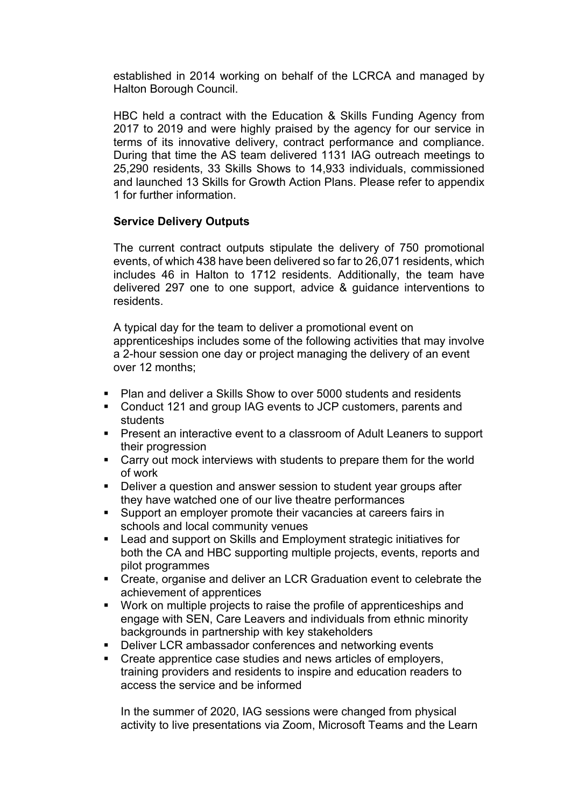established in 2014 working on behalf of the LCRCA and managed by Halton Borough Council.

HBC held a contract with the Education & Skills Funding Agency from 2017 to 2019 and were highly praised by the agency for our service in terms of its innovative delivery, contract performance and compliance. During that time the AS team delivered 1131 IAG outreach meetings to 25,290 residents, 33 Skills Shows to 14,933 individuals, commissioned and launched 13 Skills for Growth Action Plans. Please refer to appendix 1 for further information.

# **Service Delivery Outputs**

The current contract outputs stipulate the delivery of 750 promotional events, of which 438 have been delivered so far to 26,071 residents, which includes 46 in Halton to 1712 residents. Additionally, the team have delivered 297 one to one support, advice & guidance interventions to residents.

A typical day for the team to deliver a promotional event on apprenticeships includes some of the following activities that may involve a 2-hour session one day or project managing the delivery of an event over 12 months;

- Plan and deliver a Skills Show to over 5000 students and residents
- Conduct 121 and group IAG events to JCP customers, parents and students
- Present an interactive event to a classroom of Adult Leaners to support their progression
- Carry out mock interviews with students to prepare them for the world of work
- Deliver a question and answer session to student year groups after they have watched one of our live theatre performances
- Support an employer promote their vacancies at careers fairs in schools and local community venues
- Lead and support on Skills and Employment strategic initiatives for both the CA and HBC supporting multiple projects, events, reports and pilot programmes
- Create, organise and deliver an LCR Graduation event to celebrate the achievement of apprentices
- Work on multiple projects to raise the profile of apprenticeships and engage with SEN, Care Leavers and individuals from ethnic minority backgrounds in partnership with key stakeholders
- Deliver LCR ambassador conferences and networking events
- Create apprentice case studies and news articles of employers, training providers and residents to inspire and education readers to access the service and be informed

In the summer of 2020, IAG sessions were changed from physical activity to live presentations via Zoom, Microsoft Teams and the Learn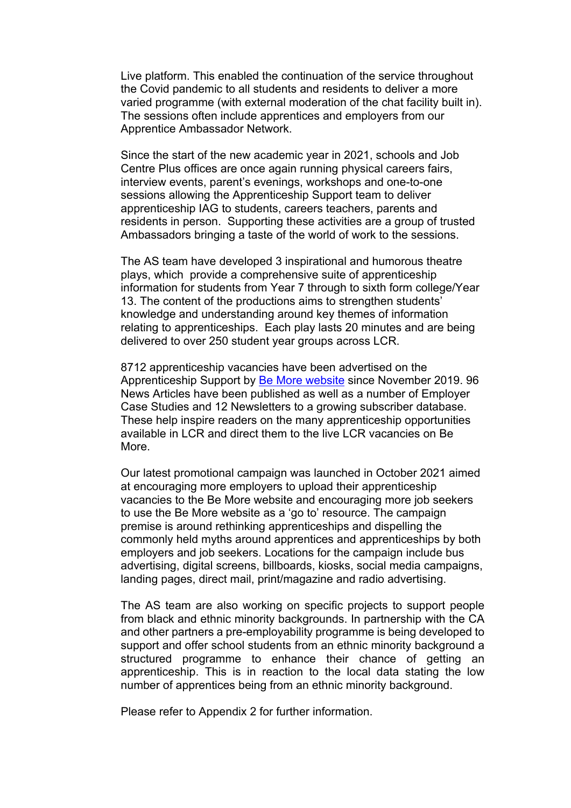Live platform. This enabled the continuation of the service throughout the Covid pandemic to all students and residents to deliver a more varied programme (with external moderation of the chat facility built in). The sessions often include apprentices and employers from our Apprentice Ambassador Network.

Since the start of the new academic year in 2021, schools and Job Centre Plus offices are once again running physical careers fairs, interview events, parent's evenings, workshops and one-to-one sessions allowing the Apprenticeship Support team to deliver apprenticeship IAG to students, careers teachers, parents and residents in person. Supporting these activities are a group of trusted Ambassadors bringing a taste of the world of work to the sessions.

The AS team have developed 3 inspirational and humorous theatre plays, which provide a comprehensive suite of apprenticeship information for students from Year 7 through to sixth form college/Year 13. The content of the productions aims to strengthen students' knowledge and understanding around key themes of information relating to apprenticeships. Each play lasts 20 minutes and are being delivered to over 250 student year groups across LCR.

8712 apprenticeship vacancies have been advertised on the Apprenticeship Support by Be More [website](https://be-more.info/) since November 2019. 96 News Articles have been published as well as a number of Employer Case Studies and 12 Newsletters to a growing subscriber database. These help inspire readers on the many apprenticeship opportunities available in LCR and direct them to the live LCR vacancies on Be More.

Our latest promotional campaign was launched in October 2021 aimed at encouraging more employers to upload their apprenticeship vacancies to the Be More website and encouraging more job seekers to use the Be More website as a 'go to' resource. The campaign premise is around rethinking apprenticeships and dispelling the commonly held myths around apprentices and apprenticeships by both employers and job seekers. Locations for the campaign include bus advertising, digital screens, billboards, kiosks, social media campaigns, landing pages, direct mail, print/magazine and radio advertising.

The AS team are also working on specific projects to support people from black and ethnic minority backgrounds. In partnership with the CA and other partners a pre-employability programme is being developed to support and offer school students from an ethnic minority background a structured programme to enhance their chance of getting an apprenticeship. This is in reaction to the local data stating the low number of apprentices being from an ethnic minority background.

Please refer to Appendix 2 for further information.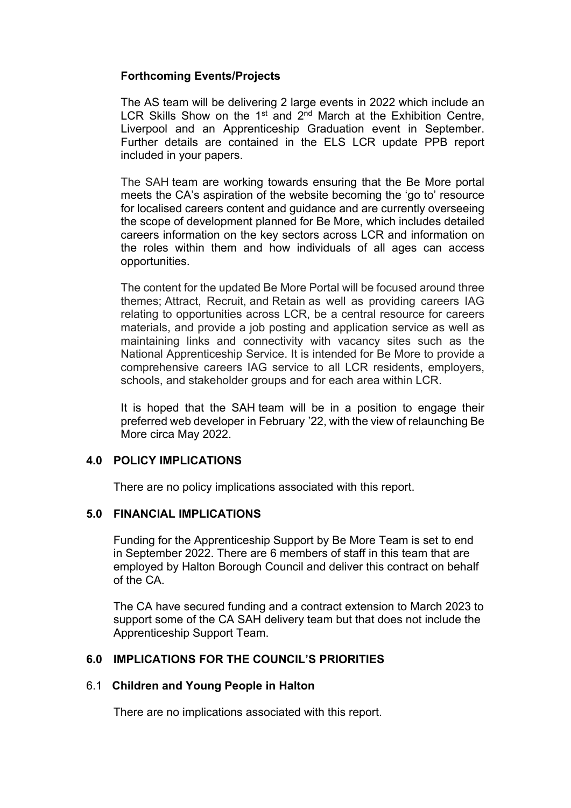# **Forthcoming Events/Projects**

The AS team will be delivering 2 large events in 2022 which include an LCR Skills Show on the  $1<sup>st</sup>$  and  $2<sup>nd</sup>$  March at the Exhibition Centre, Liverpool and an Apprenticeship Graduation event in September. Further details are contained in the ELS LCR update PPB report included in your papers.

The SAH team are working towards ensuring that the Be More portal meets the CA's aspiration of the website becoming the 'go to' resource for localised careers content and guidance and are currently overseeing the scope of development planned for Be More, which includes detailed careers information on the key sectors across LCR and information on the roles within them and how individuals of all ages can access opportunities.

The content for the updated Be More Portal will be focused around three themes; Attract, Recruit, and Retain as well as providing careers IAG relating to opportunities across LCR, be a central resource for careers materials, and provide a job posting and application service as well as maintaining links and connectivity with vacancy sites such as the National Apprenticeship Service. It is intended for Be More to provide a comprehensive careers IAG service to all LCR residents, employers, schools, and stakeholder groups and for each area within LCR.

It is hoped that the SAH team will be in a position to engage their preferred web developer in February '22, with the view of relaunching Be More circa May 2022.

### **4.0 POLICY IMPLICATIONS**

There are no policy implications associated with this report.

### **5.0 FINANCIAL IMPLICATIONS**

Funding for the Apprenticeship Support by Be More Team is set to end in September 2022. There are 6 members of staff in this team that are employed by Halton Borough Council and deliver this contract on behalf of the CA.

The CA have secured funding and a contract extension to March 2023 to support some of the CA SAH delivery team but that does not include the Apprenticeship Support Team.

### **6.0 IMPLICATIONS FOR THE COUNCIL'S PRIORITIES**

### 6.1 **Children and Young People in Halton**

There are no implications associated with this report.